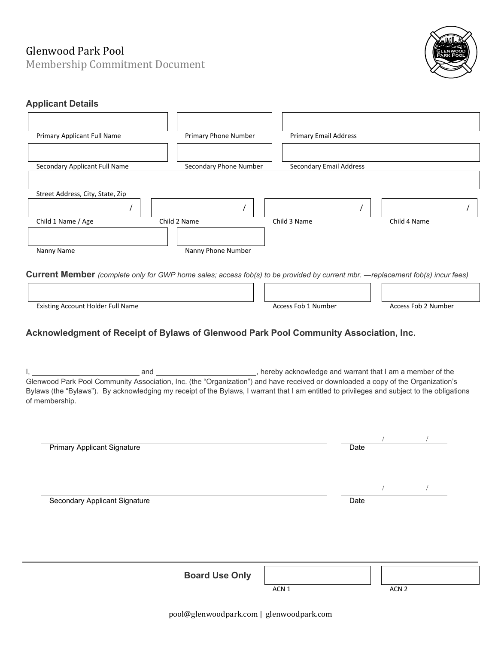# Glenwood Park Pool

Membership Commitment Document



# **Applicant Details**

| Primary Applicant Full Name                            | <b>Primary Phone Number</b> | <b>Primary Email Address</b> |  |  |  |  |
|--------------------------------------------------------|-----------------------------|------------------------------|--|--|--|--|
|                                                        |                             |                              |  |  |  |  |
| Secondary Applicant Full Name                          | Secondary Phone Number      | Secondary Email Address      |  |  |  |  |
| Street Address, City, State, Zip<br>Child 1 Name / Age | Child 2 Name                | Child 4 Name<br>Child 3 Name |  |  |  |  |
|                                                        |                             |                              |  |  |  |  |
| Nanny Name                                             | Nanny Phone Number          |                              |  |  |  |  |

**Current Member** *(complete only for GWP home sales; access fob(s) to be provided by current mbr. —replacement fob(s) incur fees)*

| Existing Account Holder Full Name | Access Fob 1 Number | Access Fob 2 Number |
|-----------------------------------|---------------------|---------------------|

 $\sqcap$   $\sqsubset$ 

ח ר

# **Acknowledgment of Receipt of Bylaws of Glenwood Park Pool Community Association, Inc.**

I, 1. And and 2008 and 2009, hereby acknowledge and warrant that I am a member of the Glenwood Park Pool Community Association, Inc. (the "Organization") and have received or downloaded a copy of the Organization's Bylaws (the "Bylaws"). By acknowledging my receipt of the Bylaws, I warrant that I am entitled to privileges and subject to the obligations of membership.

| <b>Primary Applicant Signature</b> |                       |       | Date |                  |  |
|------------------------------------|-----------------------|-------|------|------------------|--|
|                                    |                       |       |      |                  |  |
|                                    |                       |       |      |                  |  |
|                                    |                       |       |      |                  |  |
| Secondary Applicant Signature      |                       |       | Date |                  |  |
|                                    |                       |       |      |                  |  |
|                                    |                       |       |      |                  |  |
|                                    |                       |       |      |                  |  |
|                                    |                       |       |      |                  |  |
|                                    |                       |       |      |                  |  |
|                                    | <b>Board Use Only</b> |       |      |                  |  |
|                                    |                       | ACN 1 |      | ACN <sub>2</sub> |  |
|                                    |                       |       |      |                  |  |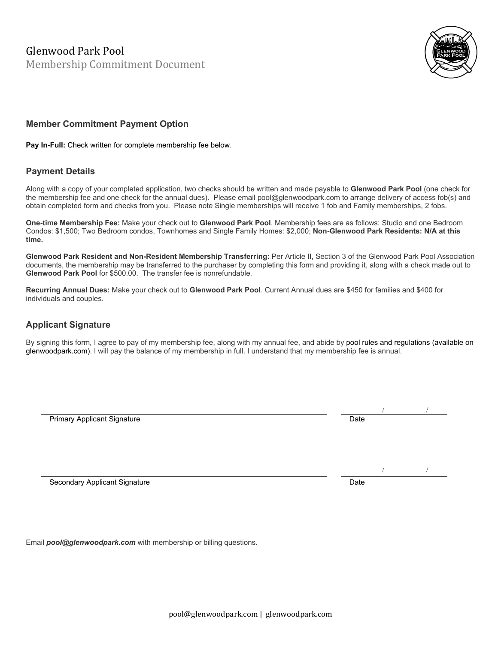Glenwood Park Pool Membership Commitment Document



# **Member Commitment Payment Option**

**Pay In-Full:** Check written for complete membership fee below.

## **Payment Details**

Along with a copy of your completed application, two checks should be written and made payable to **Glenwood Park Pool** (one check for the membership fee and one check for the annual dues). Please email pool@glenwoodpark.com to arrange delivery of access fob(s) and obtain completed form and checks from you. Please note Single memberships will receive 1 fob and Family memberships, 2 fobs.

**One-time Membership Fee:** Make your check out to **Glenwood Park Pool**. Membership fees are as follows: Studio and one Bedroom Condos: \$1,500; Two Bedroom condos, Townhomes and Single Family Homes: \$2,000; **Non-Glenwood Park Residents: N/A at this time.**

**Glenwood Park Resident and Non-Resident Membership Transferring:** Per Article II, Section 3 of the Glenwood Park Pool Association documents, the membership may be transferred to the purchaser by completing this form and providing it, along with a check made out to **Glenwood Park Pool** for \$500.00. The transfer fee is nonrefundable.

**Recurring Annual Dues:** Make your check out to **Glenwood Park Pool**. Current Annual dues are \$450 for families and \$400 for individuals and couples.

## **Applicant Signature**

By signing this form, I agree to pay of my membership fee, along with my annual fee, and abide by pool rules and regulations (available on glenwoodpark.com). I will pay the balance of my membership in full. I understand that my membership fee is annual.

Primary Applicant Signature **Date of Applicant Signature** Date of Applicant Control of Applicant Date Date of Date

Secondary Applicant Signature **Date of Applicant Signature** Date of Applicant Signature Date of Applicant Signature

Email *pool@glenwoodpark.com* with membership or billing questions.

/ /

/ /